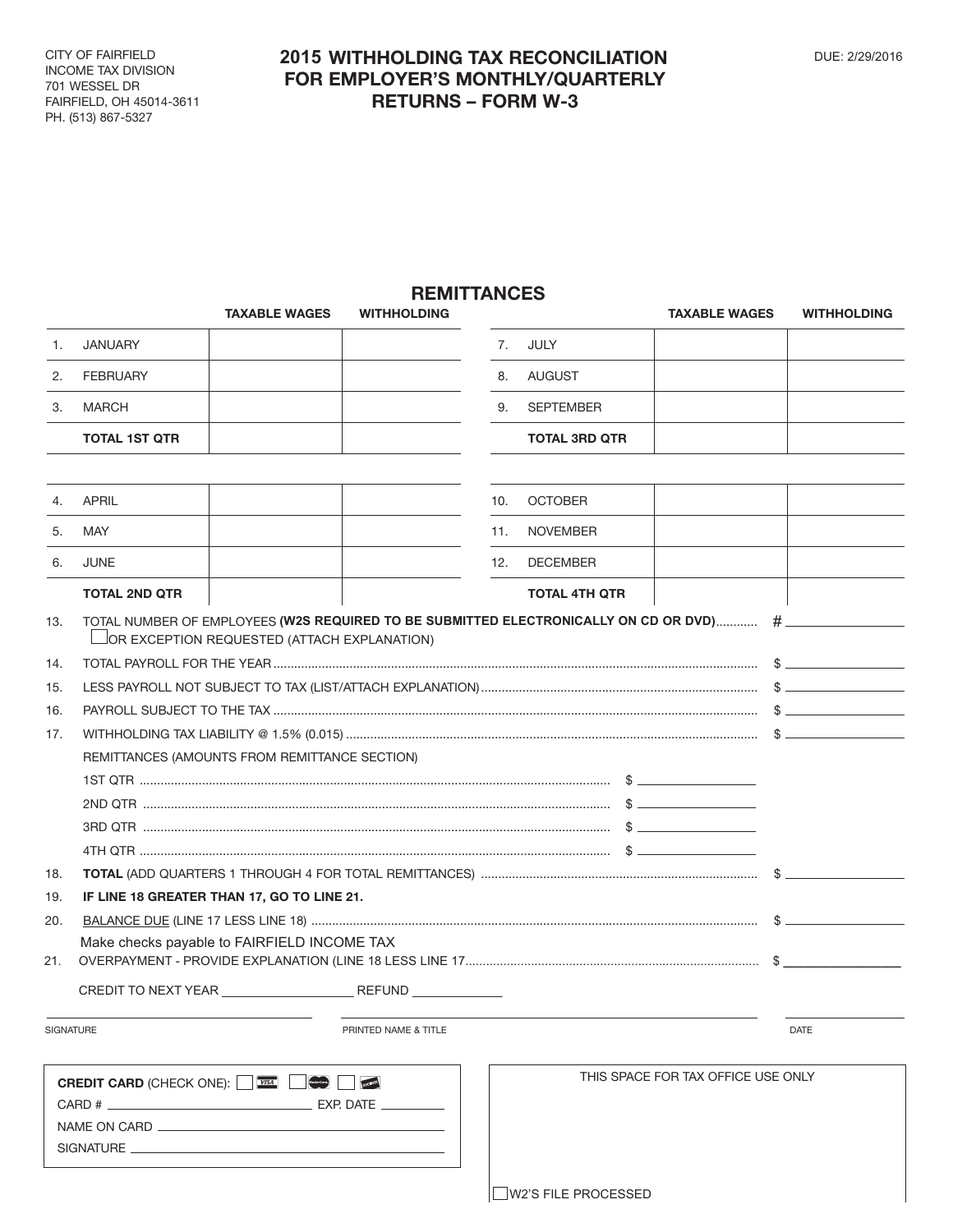CITY OF FAIRFIELD INCOME TAX DIVISION 701 WESSEL DR FAIRFIELD, OH 45014-3611 PH. (513) 867-5327  $\overline{C}$ I UF<br>OME UNIL IA וטטשוע<br>חוםובו

## **2015 WITHHOLDING TAX RECONCILIATION DUE: 2/29/2016 FOR EMPLOYER'S MONTHLY/QUARTERLY RETURNS – FORM W-3 EMPLOYER'S M**

## **REMITTANCES**

|                                               | <b>TAXABLE WAGES</b>                                                                                                                              | <b>WITHHOLDING</b>   |     |                                    | <b>TAXABLE WAGES</b> | <b>WITHHOLDING</b> |
|-----------------------------------------------|---------------------------------------------------------------------------------------------------------------------------------------------------|----------------------|-----|------------------------------------|----------------------|--------------------|
| 1.                                            | <b>JANUARY</b>                                                                                                                                    |                      | 7.  | JULY                               |                      |                    |
| 2.                                            | <b>FEBRUARY</b>                                                                                                                                   |                      | 8.  | AUGUST                             |                      |                    |
| 3.                                            | MARCH                                                                                                                                             |                      | 9.  | SEPTEMBER                          |                      |                    |
|                                               | <b>TOTAL 1ST QTR</b>                                                                                                                              |                      |     | <b>TOTAL 3RD QTR</b>               |                      |                    |
|                                               |                                                                                                                                                   |                      |     |                                    |                      |                    |
| 4.                                            | <b>APRIL</b>                                                                                                                                      |                      | 10. | <b>OCTOBER</b>                     |                      |                    |
| 5.                                            | MAY                                                                                                                                               |                      | 11. | <b>NOVEMBER</b>                    |                      |                    |
| 6.                                            | <b>JUNE</b>                                                                                                                                       |                      | 12. | <b>DECEMBER</b>                    |                      |                    |
|                                               | <b>TOTAL 2ND QTR</b>                                                                                                                              |                      |     | <b>TOTAL 4TH QTR</b>               |                      |                    |
| 13.                                           | TOTAL NUMBER OF EMPLOYEES (W2S REQUIRED TO BE SUBMITTED ELECTRONICALLY ON CD OR DVD)  # __________<br>OR EXCEPTION REQUESTED (ATTACH EXPLANATION) |                      |     |                                    |                      |                    |
| 14.                                           |                                                                                                                                                   |                      |     |                                    |                      |                    |
| 15.                                           |                                                                                                                                                   |                      |     |                                    |                      |                    |
| 16.                                           |                                                                                                                                                   |                      |     |                                    |                      |                    |
| 17.                                           |                                                                                                                                                   |                      |     |                                    |                      |                    |
|                                               | REMITTANCES (AMOUNTS FROM REMITTANCE SECTION)                                                                                                     |                      |     |                                    |                      |                    |
|                                               |                                                                                                                                                   |                      |     |                                    |                      |                    |
|                                               |                                                                                                                                                   |                      |     |                                    |                      |                    |
|                                               |                                                                                                                                                   |                      |     |                                    |                      |                    |
|                                               |                                                                                                                                                   |                      |     |                                    |                      |                    |
| 18.                                           |                                                                                                                                                   |                      |     |                                    |                      |                    |
| 19.                                           | IF LINE 18 GREATER THAN 17, GO TO LINE 21.                                                                                                        |                      |     |                                    |                      |                    |
| 20.                                           |                                                                                                                                                   |                      |     |                                    |                      |                    |
| 21.                                           | Make checks payable to FAIRFIELD INCOME TAX                                                                                                       |                      |     |                                    |                      | $\mathbb{S}$       |
|                                               |                                                                                                                                                   |                      |     |                                    |                      |                    |
|                                               | <b>SIGNATURE</b>                                                                                                                                  | PRINTED NAME & TITLE |     |                                    |                      | <b>DATE</b>        |
| <b>DUCOVER</b><br>MasterCard.<br>NAME ON CARD |                                                                                                                                                   |                      |     | THIS SPACE FOR TAX OFFICE USE ONLY |                      |                    |

\_\_|W2'S FILE PROCESSED